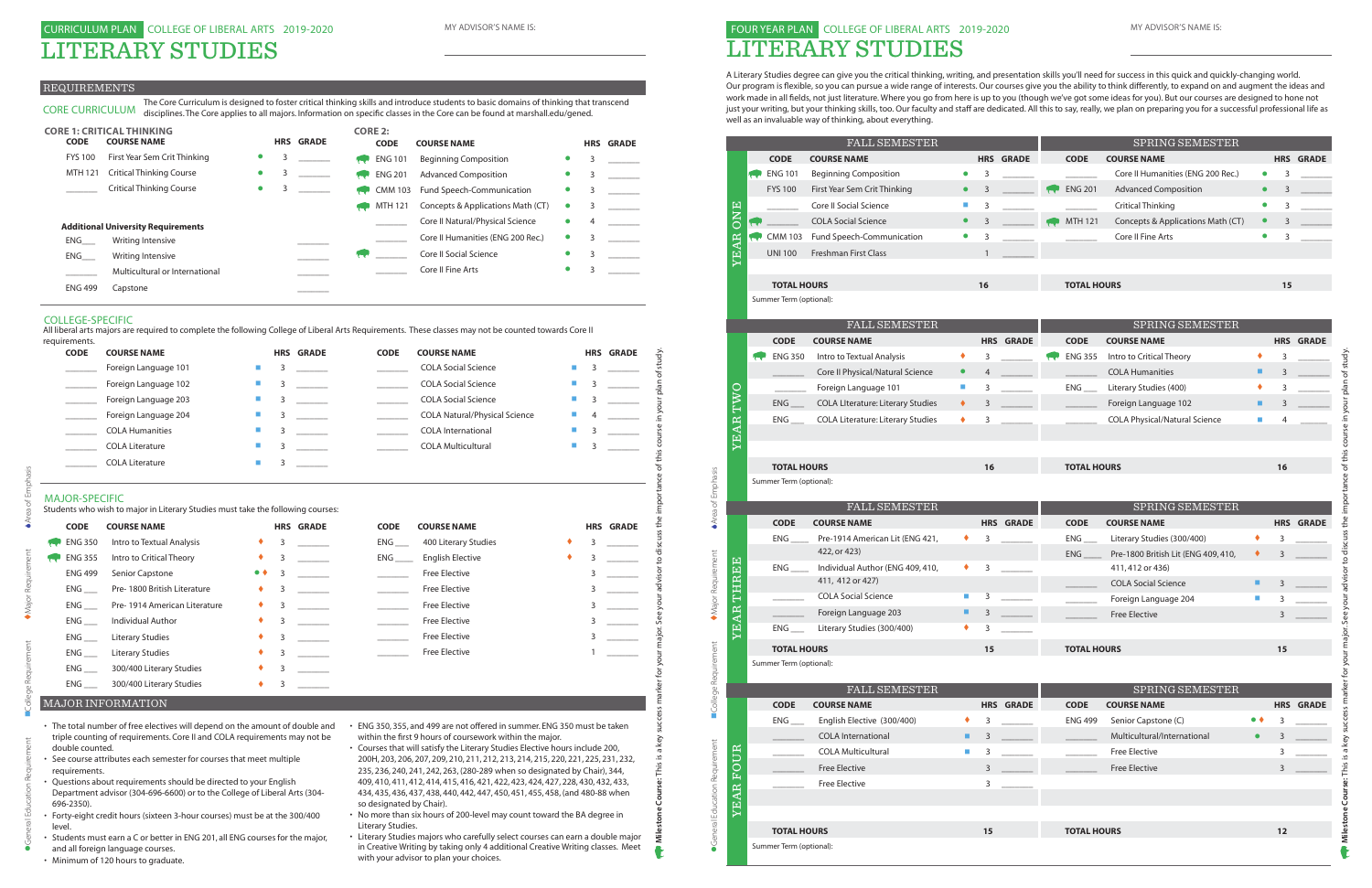#### REQUIREMENTS

#### MAJOR-SPECIFIC

| <b>CODE</b>                                                 | <b>COURSE NAME</b>                                                                                                                                                                                                                                                                                                                                                                                                                                                |                             |   | <b>HRS GRADE</b> | <b>CODE</b>              | <b>COURSE NAME</b>                                                                                                                                                                                                                                                                                                                                                                                                                                                                                                                                                                                                                  |                |                | <b>HRS GRADE</b> |
|-------------------------------------------------------------|-------------------------------------------------------------------------------------------------------------------------------------------------------------------------------------------------------------------------------------------------------------------------------------------------------------------------------------------------------------------------------------------------------------------------------------------------------------------|-----------------------------|---|------------------|--------------------------|-------------------------------------------------------------------------------------------------------------------------------------------------------------------------------------------------------------------------------------------------------------------------------------------------------------------------------------------------------------------------------------------------------------------------------------------------------------------------------------------------------------------------------------------------------------------------------------------------------------------------------------|----------------|----------------|------------------|
|                                                             | Foreign Language 101                                                                                                                                                                                                                                                                                                                                                                                                                                              |                             | 3 |                  |                          | <b>COLA Social Science</b>                                                                                                                                                                                                                                                                                                                                                                                                                                                                                                                                                                                                          |                | 3              |                  |
| $\mathcal{L}_{\text{max}}$ . The $\mathcal{L}_{\text{max}}$ | Foreign Language 102                                                                                                                                                                                                                                                                                                                                                                                                                                              | П                           | 3 |                  |                          | <b>COLA Social Science</b>                                                                                                                                                                                                                                                                                                                                                                                                                                                                                                                                                                                                          | г              | 3              |                  |
| $\mathcal{L}_{\text{max}}$ . The $\mathcal{L}_{\text{max}}$ | Foreign Language 203                                                                                                                                                                                                                                                                                                                                                                                                                                              | $\mathcal{L}_{\mathcal{A}}$ | 3 |                  |                          | <b>COLA Social Science</b>                                                                                                                                                                                                                                                                                                                                                                                                                                                                                                                                                                                                          | $\blacksquare$ | 3              |                  |
| $\overline{\phantom{a}}$                                    | Foreign Language 204                                                                                                                                                                                                                                                                                                                                                                                                                                              | a.                          | 3 |                  |                          | <b>COLA Natural/Physical Science</b>                                                                                                                                                                                                                                                                                                                                                                                                                                                                                                                                                                                                | П              | 4              |                  |
|                                                             | <b>COLA Humanities</b>                                                                                                                                                                                                                                                                                                                                                                                                                                            | T.                          | 3 |                  |                          | <b>COLA International</b>                                                                                                                                                                                                                                                                                                                                                                                                                                                                                                                                                                                                           | ш              | 3              |                  |
|                                                             | <b>COLA Literature</b>                                                                                                                                                                                                                                                                                                                                                                                                                                            | o.                          | 3 |                  |                          | <b>COLA Multicultural</b>                                                                                                                                                                                                                                                                                                                                                                                                                                                                                                                                                                                                           | $\blacksquare$ | 3              |                  |
|                                                             | <b>COLA Literature</b>                                                                                                                                                                                                                                                                                                                                                                                                                                            | П                           | 3 |                  |                          |                                                                                                                                                                                                                                                                                                                                                                                                                                                                                                                                                                                                                                     |                |                |                  |
| <b>MAJOR-SPECIFIC</b>                                       |                                                                                                                                                                                                                                                                                                                                                                                                                                                                   |                             |   |                  |                          |                                                                                                                                                                                                                                                                                                                                                                                                                                                                                                                                                                                                                                     |                |                |                  |
| <b>CODE</b>                                                 | Students who wish to major in Literary Studies must take the following courses:<br><b>COURSE NAME</b>                                                                                                                                                                                                                                                                                                                                                             |                             |   | <b>HRS GRADE</b> | <b>CODE</b>              | <b>COURSE NAME</b>                                                                                                                                                                                                                                                                                                                                                                                                                                                                                                                                                                                                                  |                |                | <b>HRS GRADE</b> |
| <b>ENG 350</b>                                              | Intro to Textual Analysis                                                                                                                                                                                                                                                                                                                                                                                                                                         |                             | 3 |                  | ENG                      | 400 Literary Studies                                                                                                                                                                                                                                                                                                                                                                                                                                                                                                                                                                                                                |                | 3              |                  |
| <b>ENG 355</b>                                              | Intro to Critical Theory                                                                                                                                                                                                                                                                                                                                                                                                                                          | ٠                           | 3 |                  | $ENG$ <sub>____</sub>    | <b>English Elective</b>                                                                                                                                                                                                                                                                                                                                                                                                                                                                                                                                                                                                             |                | 3              |                  |
| <b>ENG 499</b>                                              | Senior Capstone                                                                                                                                                                                                                                                                                                                                                                                                                                                   | $\bullet$ $\bullet$         | 3 |                  | $\sim$                   | <b>Free Elective</b>                                                                                                                                                                                                                                                                                                                                                                                                                                                                                                                                                                                                                |                | 3              |                  |
| ENG                                                         | Pre-1800 British Literature                                                                                                                                                                                                                                                                                                                                                                                                                                       |                             | 3 |                  | $\sim$ $-$               | <b>Free Elective</b>                                                                                                                                                                                                                                                                                                                                                                                                                                                                                                                                                                                                                |                | 3              |                  |
| $ENG$ <sub>___</sub>                                        | Pre-1914 American Literature                                                                                                                                                                                                                                                                                                                                                                                                                                      | ٠                           | 3 |                  |                          | Free Elective                                                                                                                                                                                                                                                                                                                                                                                                                                                                                                                                                                                                                       |                | 3              |                  |
| ENG                                                         | Individual Author                                                                                                                                                                                                                                                                                                                                                                                                                                                 | ٠                           | 3 |                  |                          | <b>Free Elective</b>                                                                                                                                                                                                                                                                                                                                                                                                                                                                                                                                                                                                                |                | 3              |                  |
| $ENG$ <sub>___</sub>                                        | <b>Literary Studies</b>                                                                                                                                                                                                                                                                                                                                                                                                                                           | ٠                           | 3 |                  | $\sim 10^{11}$ m $^{-1}$ | <b>Free Elective</b>                                                                                                                                                                                                                                                                                                                                                                                                                                                                                                                                                                                                                |                | $\overline{3}$ | $\sim$           |
| ENG                                                         | <b>Literary Studies</b>                                                                                                                                                                                                                                                                                                                                                                                                                                           |                             | 3 |                  |                          | <b>Free Elective</b>                                                                                                                                                                                                                                                                                                                                                                                                                                                                                                                                                                                                                |                |                |                  |
| $ENG$ <sub>____</sub>                                       | 300/400 Literary Studies                                                                                                                                                                                                                                                                                                                                                                                                                                          |                             | 3 |                  |                          |                                                                                                                                                                                                                                                                                                                                                                                                                                                                                                                                                                                                                                     |                |                |                  |
| $ENG$ <sub>____</sub>                                       | 300/400 Literary Studies                                                                                                                                                                                                                                                                                                                                                                                                                                          |                             | 3 |                  |                          |                                                                                                                                                                                                                                                                                                                                                                                                                                                                                                                                                                                                                                     |                |                |                  |
|                                                             | <b>MAJOR INFORMATION</b>                                                                                                                                                                                                                                                                                                                                                                                                                                          |                             |   |                  |                          |                                                                                                                                                                                                                                                                                                                                                                                                                                                                                                                                                                                                                                     |                |                |                  |
| double counted.<br>requirements.<br>696-2350).              | • The total number of free electives will depend on the amount of double and<br>triple counting of requirements. Core II and COLA requirements may not be<br>• See course attributes each semester for courses that meet multiple<br>• Questions about requirements should be directed to your English<br>Department advisor (304-696-6600) or to the College of Liberal Arts (304-<br>• Forty-eight credit hours (sixteen 3-hour courses) must be at the 300/400 |                             |   |                  | so designated by Chair). | • ENG 350, 355, and 499 are not offered in summer. ENG 350 must be taken<br>within the first 9 hours of coursework within the major.<br>• Courses that will satisfy the Literary Studies Elective hours include 200,<br>200H, 203, 206, 207, 209, 210, 211, 212, 213, 214, 215, 220, 221, 225, 231, 232,<br>235, 236, 240, 241, 242, 263, (280-289 when so designated by Chair), 344,<br>409, 410, 411, 412, 414, 415, 416, 421, 422, 423, 424, 427, 228, 430, 432, 433,<br>434, 435, 436, 437, 438, 440, 442, 447, 450, 451, 455, 458, (and 480-88 when<br>• No more than six hours of 200-level may count toward the BA degree in |                |                |                  |
| level.                                                      | • Students must earn a C or better in ENG 201, all ENG courses for the major,                                                                                                                                                                                                                                                                                                                                                                                     |                             |   |                  | Literary Studies.        | • Literary Studies majors who carefully select courses can earn a double major                                                                                                                                                                                                                                                                                                                                                                                                                                                                                                                                                      |                |                |                  |

| requirements. |                        |                |                  |             |                                      |   |                  |  |
|---------------|------------------------|----------------|------------------|-------------|--------------------------------------|---|------------------|--|
| <b>CODE</b>   | <b>COURSE NAME</b>     |                | <b>HRS GRADE</b> | <b>CODE</b> | <b>COURSE NAME</b>                   |   | <b>HRS GRADE</b> |  |
|               | Foreign Language 101   | <b>College</b> |                  |             | <b>COLA Social Science</b>           |   |                  |  |
|               | Foreign Language 102   | $\blacksquare$ |                  |             | <b>COLA Social Science</b>           |   |                  |  |
|               | Foreign Language 203   |                |                  |             | <b>COLA Social Science</b>           |   |                  |  |
|               | Foreign Language 204   | ш              |                  |             | <b>COLA Natural/Physical Science</b> | 4 |                  |  |
|               | <b>COLA Humanities</b> |                |                  |             | <b>COLA International</b>            |   |                  |  |
|               | <b>COLA Literature</b> | a.             |                  |             | <b>COLA Multicultural</b>            |   |                  |  |
|               | <b>COLA Literature</b> |                |                  |             |                                      |   |                  |  |

CORE CURRICULUM The Core Curriculum is designed to foster critical thinking skills and introduce students to basic domains of thinking that transcend disciplines. The Core applies to all majors. Information on specific classes in the Core can be found at marshall.edu/gened.

|                | <b>CORE 1: CRITICAL THINKING</b>          |           |   |                  |             | <b>CORE 2:</b> |                                   |           |   |                  |
|----------------|-------------------------------------------|-----------|---|------------------|-------------|----------------|-----------------------------------|-----------|---|------------------|
| <b>CODE</b>    | <b>COURSE NAME</b>                        |           |   | <b>HRS GRADE</b> |             | <b>CODE</b>    | <b>COURSE NAME</b>                |           |   | <b>HRS GRADE</b> |
| <b>FYS 100</b> | First Year Sem Crit Thinking              | $\bullet$ | 3 |                  | <b>Sept</b> | <b>ENG 101</b> | <b>Beginning Composition</b>      |           | 3 |                  |
| <b>MTH 121</b> | <b>Critical Thinking Course</b>           | $\bullet$ |   |                  |             | <b>ENG 201</b> | <b>Advanced Composition</b>       | $\bullet$ | 3 |                  |
|                | <b>Critical Thinking Course</b>           | $\bullet$ |   |                  |             | <b>CMM 103</b> | Fund Speech-Communication         |           | 3 |                  |
|                |                                           |           |   |                  |             | MTH 121        | Concepts & Applications Math (CT) | $\bullet$ |   |                  |
|                | <b>Additional University Requirements</b> |           |   |                  |             |                | Core II Natural/Physical Science  | $\bullet$ | 4 |                  |
| ENG            | Writing Intensive                         |           |   |                  |             |                | Core II Humanities (ENG 200 Rec.) | $\bullet$ |   |                  |
| ENG            | Writing Intensive                         |           |   |                  |             |                | <b>Core II Social Science</b>     |           | 3 |                  |
|                | Multicultural or International            |           |   |                  |             |                | Core II Fine Arts                 | $\bullet$ |   |                  |
| <b>ENG 499</b> | Capstone                                  |           |   |                  |             |                |                                   |           |   |                  |

- 
- 
- 
- 
- and all foreign language courses.
- Minimum of 120 hours to graduate.
- ENG 350, 355, and 499 are not offered in summer. ENG 350 must be taken within the first 9 hours of coursework within the major.
- Courses that will satisfy the Literary Studies Elective hours include 200, 200H, 203, 206, 207, 209, 210, 211, 212, 213, 214, 215, 220, 221, 225, 231, 232, 235, 236, 240, 241, 242, 263, (280-289 when so designated by Chair), 344, 409, 410, 411, 412, 414, 415, 416, 421, 422, 423, 424, 427, 228, 430, 432, 433, 434, 435, 436, 437, 438, 440, 442, 447, 450, 451, 455, 458, (and 480-88 when so designated by Chair).
- No more than six hours of 200-level may count toward the BA degree in Literary Studies.
- Literary Studies majors who carefully select courses can earn a double major in Creative Writing by taking only 4 additional Creative Writing classes. Meet with your advisor to plan your choices.

 $\bullet$ General Education Requirement  $\qquad \bullet$  Major Requirement  $\bullet$  Area of Emphasis

#### COLLEGE-SPECIFIC

All liberal arts majors are required to complete the following College of Liberal Arts Requirements. These classes may not be counted towards Core II

# 0 MY ADVISOR'S NAME IS: THE SERVICE OF LIBERAL ARTS 2019-2020 LITERARY STUDIES

A Literary Studies degree can give you the critical thinking, writing, and presentation skills you'll need for success in this quick and quickly-changing world. Our program is fexible, so you can pursue a wide range of interests. Our courses give you the ability to think di ferently, to expand on and augment the ideas and work made in all felds, not just literature. Where you go from here is up to you (though we've got some ideas for you). But our courses are designed to hone not just your writing, but your thinking skills, too. Our faculty and staff are dedicated. All this to say, really, we plan on preparing you for a successful professional life as well as an invaluable way of thinking, about everything.

|                               |                        |    |                                               | FALL SEMESTER                                        |                             |              |                  |                      | SPRING SEMESTER                                |                  |    |                  |
|-------------------------------|------------------------|----|-----------------------------------------------|------------------------------------------------------|-----------------------------|--------------|------------------|----------------------|------------------------------------------------|------------------|----|------------------|
|                               |                        |    | <b>CODE</b>                                   | <b>COURSE NAME</b>                                   |                             |              | <b>HRS GRADE</b> | <b>CODE</b>          | <b>COURSE NAME</b>                             |                  |    | <b>HRS GRADE</b> |
|                               |                        | سي | <b>ENG 101</b>                                | <b>Beginning Composition</b>                         | $\bullet$                   | 3            |                  |                      | Core II Humanities (ENG 200 Rec.)              | $\bullet$        | 3  |                  |
|                               |                        |    | <b>FYS 100</b>                                | First Year Sem Crit Thinking                         |                             | 3            |                  | <b>ENG 201</b>       | <b>Advanced Composition</b>                    | $\bullet$        | 3  |                  |
|                               |                        |    |                                               | Core II Social Science                               | ш                           | 3            |                  |                      | <b>Critical Thinking</b>                       | $\bullet$        | 3  |                  |
|                               | ONE                    |    |                                               | <b>COLA Social Science</b>                           | $\bullet$                   | 3            |                  | <b>MTH 121</b>       | Concepts & Applications Math (CT)              | $\bullet$        | 3  |                  |
|                               |                        |    | <b>CMM 103</b>                                | Fund Speech-Communication                            | $\bullet$                   | 3            |                  |                      | Core II Fine Arts                              | $\bullet$        | 3  |                  |
|                               | <b>YEAR</b>            |    | <b>UNI 100</b>                                | Freshman First Class                                 |                             | $\mathbf{1}$ |                  |                      |                                                |                  |    |                  |
|                               |                        |    |                                               |                                                      |                             |              |                  |                      |                                                |                  |    |                  |
|                               |                        |    | <b>TOTAL HOURS</b>                            |                                                      |                             | 16           |                  | <b>TOTAL HOURS</b>   |                                                |                  | 15 |                  |
|                               |                        |    | Summer Term (optional):                       |                                                      |                             |              |                  |                      |                                                |                  |    |                  |
|                               |                        |    |                                               | <b>FALL SEMESTER</b>                                 |                             |              |                  |                      | SPRING SEMESTER                                |                  |    |                  |
|                               |                        |    | <b>CODE</b>                                   | <b>COURSE NAME</b>                                   |                             |              | <b>HRS GRADE</b> | <b>CODE</b>          | <b>COURSE NAME</b>                             |                  |    | <b>HRS GRADE</b> |
|                               |                        |    | <b>ENG 350</b>                                | Intro to Textual Analysis                            | ٠                           | 3            |                  | <b>ENG 355</b>       | Intro to Critical Theory                       | ٠                | 3  |                  |
|                               |                        |    |                                               | Core II Physical/Natural Science                     | $\bullet$                   | 4            |                  |                      | <b>COLA Humanities</b>                         | п                | 3  |                  |
|                               |                        |    |                                               | Foreign Language 101                                 | $\mathcal{L}_{\mathcal{A}}$ | 3            |                  | $ENG$ <sub>___</sub> | Literary Studies (400)                         | ٠                | 3  |                  |
|                               | TWO                    |    | ENG                                           | COLA LIterature: Literary Studies                    | ٠                           | 3            |                  |                      | Foreign Language 102                           | ш                | 3  |                  |
|                               |                        |    |                                               | <b>COLA Literature: Literary Studies</b>             | ٠                           | 3            |                  |                      | <b>COLA Physical/Natural Science</b>           | ш                | 4  |                  |
|                               | YEAR                   |    |                                               |                                                      |                             |              |                  |                      |                                                |                  |    |                  |
|                               |                        |    |                                               |                                                      |                             |              |                  |                      |                                                |                  |    |                  |
|                               |                        |    | <b>TOTAL HOURS</b>                            |                                                      |                             | 16           |                  | <b>TOTAL HOURS</b>   |                                                |                  | 16 |                  |
|                               |                        |    | Summer Term (optional):                       |                                                      |                             |              |                  |                      |                                                |                  |    |                  |
|                               |                        |    |                                               |                                                      |                             |              |                  |                      |                                                |                  |    |                  |
|                               |                        |    |                                               |                                                      |                             |              |                  |                      |                                                |                  |    |                  |
|                               |                        |    |                                               | FALL SEMESTER                                        |                             |              |                  |                      | SPRING SEMESTER                                |                  |    |                  |
| Area of Emphasis              |                        |    | <b>CODE</b>                                   | <b>COURSE NAME</b>                                   |                             |              | <b>HRS GRADE</b> | <b>CODE</b>          | <b>COURSE NAME</b>                             |                  |    | <b>HRS GRADE</b> |
|                               |                        |    | ENG                                           | Pre-1914 American Lit (ENG 421,                      | ٠                           | 3            |                  | $ENG$ <sub>___</sub> | Literary Studies (300/400)                     | ٠                | 3  |                  |
|                               |                        |    |                                               | 422, or 423)                                         | ٠                           |              |                  | ENG                  | Pre-1800 British Lit (ENG 409, 410,            | ٠                | 3  |                  |
|                               |                        |    | ENG                                           | Individual Author (ENG 409, 410,<br>411, 412 or 427) |                             | 3            |                  |                      | 411, 412 or 436)<br><b>COLA Social Science</b> | ٠                | 3  |                  |
|                               | THREE                  |    |                                               | <b>COLA Social Science</b>                           | ш                           | 3            |                  |                      |                                                | a.               | 3  |                  |
|                               |                        |    |                                               | Foreign Language 203                                 |                             | 3            |                  |                      | Foreign Language 204<br><b>Free Elective</b>   |                  | 3  |                  |
|                               | EAR                    |    | ENG                                           | Literary Studies (300/400)                           |                             | 3            |                  |                      |                                                |                  |    |                  |
|                               |                        |    |                                               |                                                      |                             |              |                  |                      |                                                |                  |    |                  |
|                               |                        |    | <b>TOTAL HOURS</b><br>Summer Term (optional): |                                                      |                             | 15           |                  | <b>TOTAL HOURS</b>   |                                                |                  | 15 |                  |
| Major Requirement             |                        |    |                                               |                                                      |                             |              |                  |                      |                                                |                  |    |                  |
|                               |                        |    |                                               | <b>FALL SEMESTER</b>                                 |                             |              |                  |                      | SPRING SEMESTER                                |                  |    |                  |
|                               |                        |    | <b>CODE</b>                                   | <b>COURSE NAME</b>                                   |                             |              | <b>HRS GRADE</b> | <b>CODE</b>          | <b>COURSE NAME</b>                             |                  |    | <b>HRS GRADE</b> |
| College Requirement           |                        |    | $ENG$ <sub>___</sub>                          | English Elective (300/400)                           | ٠                           | 3            |                  | <b>ENG 499</b>       | Senior Capstone (C)                            | $\bullet\bullet$ | 3  |                  |
|                               |                        |    |                                               | <b>COLA</b> International                            | ш                           | 3            |                  |                      | Multicultural/International                    | $\bullet$        | 3  |                  |
|                               | $\mathbf{\alpha}$<br>Þ |    |                                               | <b>COLA Multicultural</b>                            | ш                           | 3            |                  |                      | <b>Free Elective</b>                           |                  | 3  |                  |
|                               | $\circ$<br>园           |    |                                               | <b>Free Elective</b>                                 |                             | 3            |                  |                      | <b>Free Elective</b>                           |                  | 3  |                  |
|                               |                        |    |                                               | <b>Free Elective</b>                                 |                             | 3            |                  |                      |                                                |                  |    |                  |
|                               |                        |    |                                               |                                                      |                             |              |                  |                      |                                                |                  |    |                  |
|                               | <b>YEAR</b>            |    |                                               |                                                      |                             |              |                  |                      |                                                |                  |    |                  |
| General Education Requirement |                        |    | <b>TOTAL HOURS</b><br>Summer Term (optional): |                                                      |                             | 15           |                  | <b>TOTAL HOURS</b>   |                                                |                  | 12 |                  |